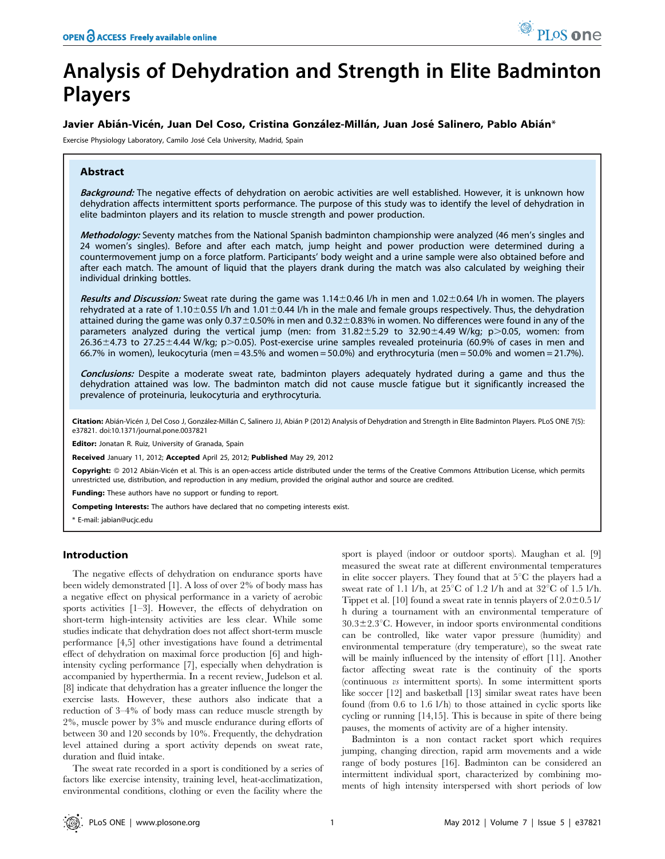# Analysis of Dehydration and Strength in Elite Badminton Players

# Javier Abián-Vicén, Juan Del Coso, Cristina González-Millán, Juan José Salinero, Pablo Abián\*

Exercise Physiology Laboratory, Camilo José Cela University, Madrid, Spain

# Abstract

Background: The negative effects of dehydration on aerobic activities are well established. However, it is unknown how dehydration affects intermittent sports performance. The purpose of this study was to identify the level of dehydration in elite badminton players and its relation to muscle strength and power production.

Methodology: Seventy matches from the National Spanish badminton championship were analyzed (46 men's singles and 24 women's singles). Before and after each match, jump height and power production were determined during a countermovement jump on a force platform. Participants' body weight and a urine sample were also obtained before and after each match. The amount of liquid that the players drank during the match was also calculated by weighing their individual drinking bottles.

Results and Discussion: Sweat rate during the game was  $1.14 \pm 0.46$  l/h in men and  $1.02 \pm 0.64$  l/h in women. The players rehydrated at a rate of 1.10 $\pm$ 0.55 l/h and 1.01 $\pm$ 0.44 l/h in the male and female groups respectively. Thus, the dehydration attained during the game was only  $0.37\pm0.50\%$  in men and  $0.32\pm0.83\%$  in women. No differences were found in any of the parameters analyzed during the vertical jump (men: from  $31.82 \pm 5.29$  to  $32.90 \pm 4.49$  W/kg; p $>0.05$ , women: from  $26.36\pm4.73$  to 27.25 $\pm4.44$  W/kg; p $>0.05$ ). Post-exercise urine samples revealed proteinuria (60.9% of cases in men and 66.7% in women), leukocyturia (men = 43.5% and women = 50.0%) and erythrocyturia (men = 50.0% and women = 21.7%).

Conclusions: Despite a moderate sweat rate, badminton players adequately hydrated during a game and thus the dehydration attained was low. The badminton match did not cause muscle fatigue but it significantly increased the prevalence of proteinuria, leukocyturia and erythrocyturia.

Citation: Abián-Vicén J, Del Coso J, González-Millán C, Salinero JJ, Abián P (2012) Analysis of Dehydration and Strength in Elite Badminton Players. PLoS ONE 7(5): e37821. doi:10.1371/journal.pone.0037821

Editor: Jonatan R. Ruiz, University of Granada, Spain

Received January 11, 2012; Accepted April 25, 2012; Published May 29, 2012

Copyright: © 2012 Abián-Vicén et al. This is an open-access article distributed under the terms of the Creative Commons Attribution License, which permits unrestricted use, distribution, and reproduction in any medium, provided the original author and source are credited.

Funding: These authors have no support or funding to report.

Competing Interests: The authors have declared that no competing interests exist.

\* E-mail: jabian@ucjc.edu

# Introduction

The negative effects of dehydration on endurance sports have been widely demonstrated [1]. A loss of over 2% of body mass has a negative effect on physical performance in a variety of aerobic sports activities [1–3]. However, the effects of dehydration on short-term high-intensity activities are less clear. While some studies indicate that dehydration does not affect short-term muscle performance [4,5] other investigations have found a detrimental effect of dehydration on maximal force production [6] and highintensity cycling performance [7], especially when dehydration is accompanied by hyperthermia. In a recent review, Judelson et al. [8] indicate that dehydration has a greater influence the longer the exercise lasts. However, these authors also indicate that a reduction of 3–4% of body mass can reduce muscle strength by 2%, muscle power by 3% and muscle endurance during efforts of between 30 and 120 seconds by 10%. Frequently, the dehydration level attained during a sport activity depends on sweat rate, duration and fluid intake.

The sweat rate recorded in a sport is conditioned by a series of factors like exercise intensity, training level, heat-acclimatization, environmental conditions, clothing or even the facility where the

sport is played (indoor or outdoor sports). Maughan et al. [9] measured the sweat rate at different environmental temperatures in elite soccer players. They found that at  $5^{\circ}$ C the players had a sweat rate of 1.1 l/h, at  $25^{\circ}$ C of 1.2 l/h and at  $32^{\circ}$ C of 1.5 l/h. Tippet et al. [10] found a sweat rate in tennis players of  $2.0\pm0.5$  l/ h during a tournament with an environmental temperature of  $30.3\pm2.3$ °C. However, in indoor sports environmental conditions can be controlled, like water vapor pressure (humidity) and environmental temperature (dry temperature), so the sweat rate will be mainly influenced by the intensity of effort [11]. Another factor affecting sweat rate is the continuity of the sports (continuous vs intermittent sports). In some intermittent sports like soccer [12] and basketball [13] similar sweat rates have been found (from 0.6 to 1.6 l/h) to those attained in cyclic sports like cycling or running [14,15]. This is because in spite of there being pauses, the moments of activity are of a higher intensity.

Badminton is a non contact racket sport which requires jumping, changing direction, rapid arm movements and a wide range of body postures [16]. Badminton can be considered an intermittent individual sport, characterized by combining moments of high intensity interspersed with short periods of low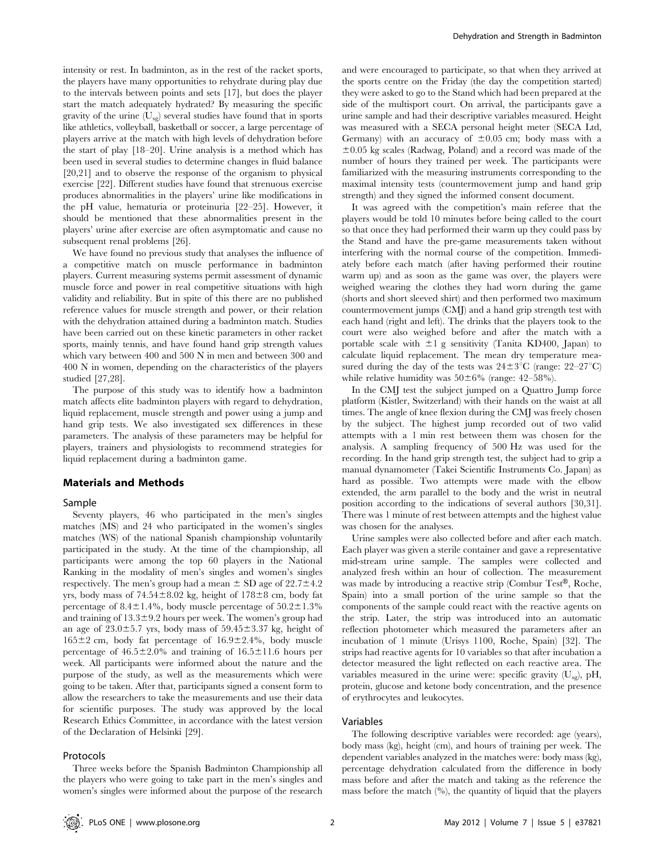intensity or rest. In badminton, as in the rest of the racket sports, the players have many opportunities to rehydrate during play due to the intervals between points and sets [17], but does the player start the match adequately hydrated? By measuring the specific gravity of the urine  $(U_{sg})$  several studies have found that in sports like athletics, volleyball, basketball or soccer, a large percentage of players arrive at the match with high levels of dehydration before the start of play [18–20]. Urine analysis is a method which has been used in several studies to determine changes in fluid balance [20,21] and to observe the response of the organism to physical exercise [22]. Different studies have found that strenuous exercise produces abnormalities in the players' urine like modifications in the pH value, hematuria or proteinuria [22–25]. However, it should be mentioned that these abnormalities present in the players' urine after exercise are often asymptomatic and cause no subsequent renal problems [26].

We have found no previous study that analyses the influence of a competitive match on muscle performance in badminton players. Current measuring systems permit assessment of dynamic muscle force and power in real competitive situations with high validity and reliability. But in spite of this there are no published reference values for muscle strength and power, or their relation with the dehydration attained during a badminton match. Studies have been carried out on these kinetic parameters in other racket sports, mainly tennis, and have found hand grip strength values which vary between 400 and 500 N in men and between 300 and 400 N in women, depending on the characteristics of the players studied [27,28].

The purpose of this study was to identify how a badminton match affects elite badminton players with regard to dehydration, liquid replacement, muscle strength and power using a jump and hand grip tests. We also investigated sex differences in these parameters. The analysis of these parameters may be helpful for players, trainers and physiologists to recommend strategies for liquid replacement during a badminton game.

#### Materials and Methods

#### Sample

Seventy players, 46 who participated in the men's singles matches (MS) and 24 who participated in the women's singles matches (WS) of the national Spanish championship voluntarily participated in the study. At the time of the championship, all participants were among the top 60 players in the National Ranking in the modality of men's singles and women's singles respectively. The men's group had a mean  $\pm$  SD age of 22.7 $\pm$ 4.2 yrs, body mass of  $74.54\pm8.02$  kg, height of  $178\pm8$  cm, body fat percentage of  $8.4 \pm 1.4\%$ , body muscle percentage of  $50.2 \pm 1.3\%$ and training of  $13.3 \pm 9.2$  hours per week. The women's group had an age of  $23.0 \pm 5.7$  yrs, body mass of  $59.45 \pm 3.37$  kg, height of  $165\pm2$  cm, body fat percentage of  $16.9\pm2.4$ %, body muscle percentage of  $46.5 \pm 2.0\%$  and training of  $16.5 \pm 11.6$  hours per week. All participants were informed about the nature and the purpose of the study, as well as the measurements which were going to be taken. After that, participants signed a consent form to allow the researchers to take the measurements and use their data for scientific purposes. The study was approved by the local Research Ethics Committee, in accordance with the latest version of the Declaration of Helsinki [29].

#### Protocols

Three weeks before the Spanish Badminton Championship all the players who were going to take part in the men's singles and women's singles were informed about the purpose of the research

and were encouraged to participate, so that when they arrived at the sports centre on the Friday (the day the competition started) they were asked to go to the Stand which had been prepared at the side of the multisport court. On arrival, the participants gave a urine sample and had their descriptive variables measured. Height was measured with a SECA personal height meter (SECA Ltd, Germany) with an accuracy of  $\pm 0.05$  cm; body mass with a  $\pm 0.05$  kg scales (Radwag, Poland) and a record was made of the number of hours they trained per week. The participants were familiarized with the measuring instruments corresponding to the maximal intensity tests (countermovement jump and hand grip strength) and they signed the informed consent document.

It was agreed with the competition's main referee that the players would be told 10 minutes before being called to the court so that once they had performed their warm up they could pass by the Stand and have the pre-game measurements taken without interfering with the normal course of the competition. Immediately before each match (after having performed their routine warm up) and as soon as the game was over, the players were weighed wearing the clothes they had worn during the game (shorts and short sleeved shirt) and then performed two maximum countermovement jumps (CMJ) and a hand grip strength test with each hand (right and left). The drinks that the players took to the court were also weighed before and after the match with a portable scale with  $\pm 1$  g sensitivity (Tanita KD400, Japan) to calculate liquid replacement. The mean dry temperature measured during the day of the tests was  $24\pm3^{\circ}$ C (range: 22–27<sup>°</sup>C) while relative humidity was  $50\pm6\%$  (range: 42–58%).

In the CMJ test the subject jumped on a Quattro Jump force platform (Kistler, Switzerland) with their hands on the waist at all times. The angle of knee flexion during the CMJ was freely chosen by the subject. The highest jump recorded out of two valid attempts with a 1 min rest between them was chosen for the analysis. A sampling frequency of 500 Hz was used for the recording. In the hand grip strength test, the subject had to grip a manual dynamometer (Takei Scientific Instruments Co. Japan) as hard as possible. Two attempts were made with the elbow extended, the arm parallel to the body and the wrist in neutral position according to the indications of several authors [30,31]. There was 1 minute of rest between attempts and the highest value was chosen for the analyses.

Urine samples were also collected before and after each match. Each player was given a sterile container and gave a representative mid-stream urine sample. The samples were collected and analyzed fresh within an hour of collection. The measurement was made by introducing a reactive strip (Combur Test<sup>®</sup>, Roche, Spain) into a small portion of the urine sample so that the components of the sample could react with the reactive agents on the strip. Later, the strip was introduced into an automatic reflection photometer which measured the parameters after an incubation of 1 minute (Urisys 1100, Roche, Spain) [32]. The strips had reactive agents for 10 variables so that after incubation a detector measured the light reflected on each reactive area. The variables measured in the urine were: specific gravity  $(U_{sg})$ , pH, protein, glucose and ketone body concentration, and the presence of erythrocytes and leukocytes.

## Variables

The following descriptive variables were recorded: age (years), body mass (kg), height (cm), and hours of training per week. The dependent variables analyzed in the matches were: body mass (kg), percentage dehydration calculated from the difference in body mass before and after the match and taking as the reference the mass before the match  $(%)$ , the quantity of liquid that the players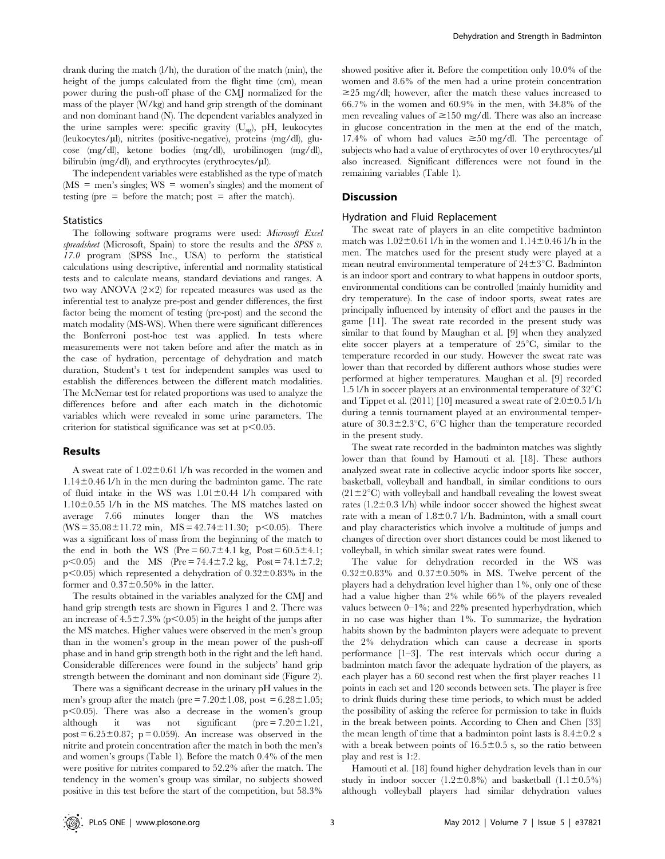drank during the match (l/h), the duration of the match (min), the height of the jumps calculated from the flight time (cm), mean power during the push-off phase of the CMJ normalized for the mass of the player (W/kg) and hand grip strength of the dominant and non dominant hand (N). The dependent variables analyzed in the urine samples were: specific gravity  $(U_{sg})$ , pH, leukocytes (leukocytes/ml), nitrites (positive-negative), proteins (mg/dl), glucose (mg/dl), ketone bodies (mg/dl), urobilinogen (mg/dl), bilirubin  $(mg/dl)$ , and erythrocytes (erythrocytes/ $\mu$ l).

The independent variables were established as the type of match  $(MS =$  men's singles;  $WS =$  women's singles) and the moment of testing (pre  $=$  before the match; post  $=$  after the match).

#### **Statistics**

The following software programs were used: Microsoft Excel spreadsheet (Microsoft, Spain) to store the results and the SPSS v. 17.0 program (SPSS Inc., USA) to perform the statistical calculations using descriptive, inferential and normality statistical tests and to calculate means, standard deviations and ranges. A two way ANOVA  $(2\times2)$  for repeated measures was used as the inferential test to analyze pre-post and gender differences, the first factor being the moment of testing (pre-post) and the second the match modality (MS-WS). When there were significant differences the Bonferroni post-hoc test was applied. In tests where measurements were not taken before and after the match as in the case of hydration, percentage of dehydration and match duration, Student's t test for independent samples was used to establish the differences between the different match modalities. The McNemar test for related proportions was used to analyze the differences before and after each match in the dichotomic variables which were revealed in some urine parameters. The criterion for statistical significance was set at  $p<0.05$ .

#### Results

A sweat rate of  $1.02 \pm 0.61$  l/h was recorded in the women and  $1.14\pm0.46$  l/h in the men during the badminton game. The rate of fluid intake in the WS was  $1.01 \pm 0.44$  l/h compared with  $1.10\pm0.55$  l/h in the MS matches. The MS matches lasted on average 7.66 minutes longer than the WS matches  $(WS = 35.08 \pm 11.72 \text{ min}, MS = 42.74 \pm 11.30; p < 0.05)$ . There was a significant loss of mass from the beginning of the match to the end in both the WS (Pre =  $60.7 \pm 4.1$  kg, Post =  $60.5 \pm 4.1$ ;  $p<0.05$ ) and the MS (Pre = 74.4±7.2 kg, Post = 74.1±7.2;  $p<0.05$ ) which represented a dehydration of  $0.32\pm0.83\%$  in the former and  $0.37\pm0.50\%$  in the latter.

The results obtained in the variables analyzed for the CMJ and hand grip strength tests are shown in Figures 1 and 2. There was an increase of  $4.5\pm7.3\%$  (p $< 0.05$ ) in the height of the jumps after the MS matches. Higher values were observed in the men's group than in the women's group in the mean power of the push-off phase and in hand grip strength both in the right and the left hand. Considerable differences were found in the subjects' hand grip strength between the dominant and non dominant side (Figure 2).

There was a significant decrease in the urinary pH values in the men's group after the match (pre  $= 7.20 \pm 1.08$ , post  $= 6.28 \pm 1.05$ ;  $p<0.05$ ). There was also a decrease in the women's group although it was not significant ( $pre = 7.20 \pm 1.21$ , post =  $6.25 \pm 0.87$ ; p = 0.059). An increase was observed in the nitrite and protein concentration after the match in both the men's and women's groups (Table 1). Before the match 0.4% of the men were positive for nitrites compared to 52.2% after the match. The tendency in the women's group was similar, no subjects showed positive in this test before the start of the competition, but 58.3%

showed positive after it. Before the competition only 10.0% of the women and 8.6% of the men had a urine protein concentration  $\geq$ 25 mg/dl; however, after the match these values increased to 66.7% in the women and 60.9% in the men, with 34.8% of the men revealing values of  $\geq$ 150 mg/dl. There was also an increase in glucose concentration in the men at the end of the match, 17.4% of whom had values  $\geq 50$  mg/dl. The percentage of subjects who had a value of erythrocytes of over  $10$  erythrocytes/ $\mu$ l also increased. Significant differences were not found in the remaining variables (Table 1).

## **Discussion**

#### Hydration and Fluid Replacement

The sweat rate of players in an elite competitive badminton match was  $1.02\pm0.61$  l/h in the women and  $1.14\pm0.46$  l/h in the men. The matches used for the present study were played at a mean neutral environmental temperature of  $24\pm3^{\circ}$ C. Badminton is an indoor sport and contrary to what happens in outdoor sports, environmental conditions can be controlled (mainly humidity and dry temperature). In the case of indoor sports, sweat rates are principally influenced by intensity of effort and the pauses in the game [11]. The sweat rate recorded in the present study was similar to that found by Maughan et al. [9] when they analyzed elite soccer players at a temperature of  $25^{\circ}$ C, similar to the temperature recorded in our study. However the sweat rate was lower than that recorded by different authors whose studies were performed at higher temperatures. Maughan et al. [9] recorded 1.5 l/h in soccer players at an environmental temperature of  $32^{\circ}$ C and Tippet et al. (2011) [10] measured a sweat rate of  $2.0\pm0.5$  l/h during a tennis tournament played at an environmental temperature of  $30.3\pm2.3^{\circ}$ C, 6<sup>°</sup>C higher than the temperature recorded in the present study.

The sweat rate recorded in the badminton matches was slightly lower than that found by Hamouti et al. [18]. These authors analyzed sweat rate in collective acyclic indoor sports like soccer, basketball, volleyball and handball, in similar conditions to ours  $(21\pm2\degree C)$  with volleyball and handball revealing the lowest sweat rates  $(1.2\pm0.3 \text{ l/h})$  while indoor soccer showed the highest sweat rate with a mean of  $1.8\pm0.7$  l/h. Badminton, with a small court and play characteristics which involve a multitude of jumps and changes of direction over short distances could be most likened to volleyball, in which similar sweat rates were found.

The value for dehydration recorded in the WS was  $0.32\pm0.83\%$  and  $0.37\pm0.50\%$  in MS. Twelve percent of the players had a dehydration level higher than 1%, only one of these had a value higher than 2% while 66% of the players revealed values between 0–1%; and 22% presented hyperhydration, which in no case was higher than 1%. To summarize, the hydration habits shown by the badminton players were adequate to prevent the 2% dehydration which can cause a decrease in sports performance [1–3]. The rest intervals which occur during a badminton match favor the adequate hydration of the players, as each player has a 60 second rest when the first player reaches 11 points in each set and 120 seconds between sets. The player is free to drink fluids during these time periods, to which must be added the possibility of asking the referee for permission to take in fluids in the break between points. According to Chen and Chen [33] the mean length of time that a badminton point lasts is  $8.4 \pm 0.2$  s with a break between points of  $16.5 \pm 0.5$  s, so the ratio between play and rest is 1:2.

Hamouti et al. [18] found higher dehydration levels than in our study in indoor soccer  $(1.2 \pm 0.8\%)$  and basketball  $(1.1 \pm 0.5\%)$ although volleyball players had similar dehydration values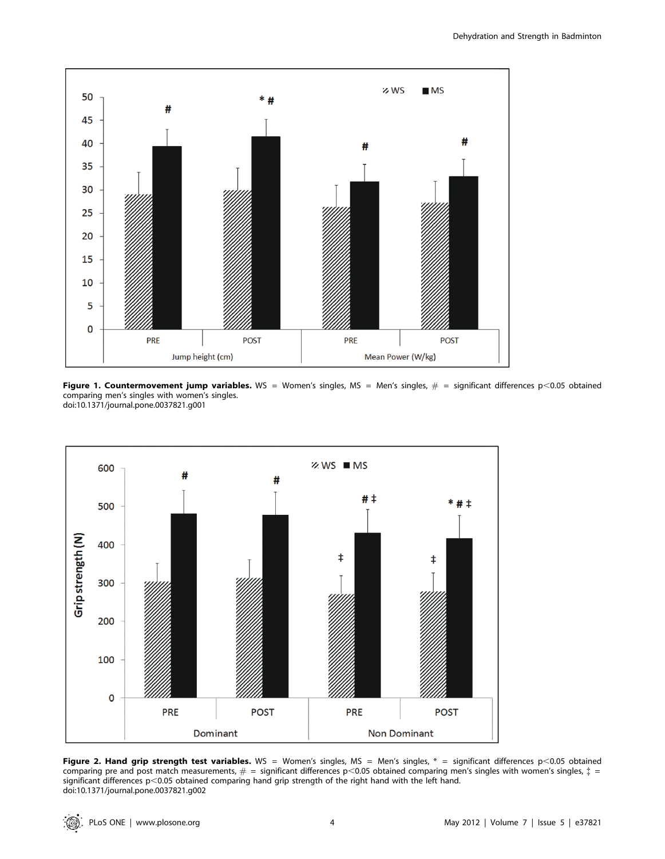

Figure 1. Countermovement jump variables. WS = Women's singles, MS = Men's singles,  $#$  = significant differences p<0.05 obtained comparing men's singles with women's singles. doi:10.1371/journal.pone.0037821.g001



Figure 2. Hand grip strength test variables. WS = Women's singles, MS = Men's singles,  $*$  = significant differences  $p$ <0.05 obtained comparing pre and post match measurements,  $\# =$  significant differences p<0.05 obtained comparing men's singles with women's singles,  $\ddot z =$ significant differences p<0.05 obtained comparing hand grip strength of the right hand with the left hand. doi:10.1371/journal.pone.0037821.g002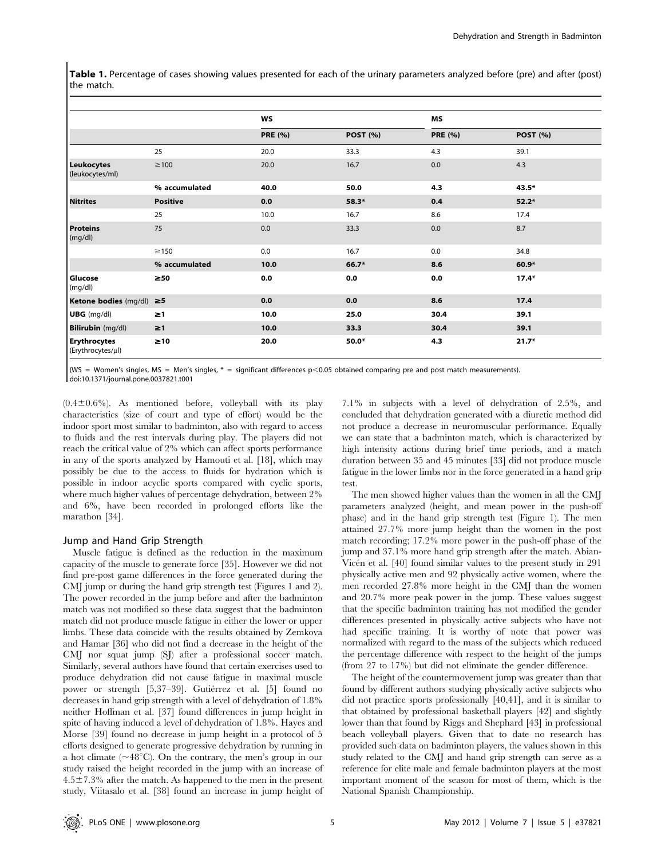Table 1. Percentage of cases showing values presented for each of the urinary parameters analyzed before (pre) and after (post) the match.

|                                          |                 | WS             |                 | MS             |                 |
|------------------------------------------|-----------------|----------------|-----------------|----------------|-----------------|
|                                          |                 | <b>PRE (%)</b> | <b>POST (%)</b> | <b>PRE (%)</b> | <b>POST (%)</b> |
|                                          | 25              | 20.0           | 33.3            | 4.3            | 39.1            |
| <b>Leukocytes</b><br>(leukocytes/ml)     | $\geq$ 100      | 20.0           | 16.7            | 0.0            | 4.3             |
|                                          | % accumulated   | 40.0           | 50.0            | 4.3            | $43.5*$         |
| <b>Nitrites</b>                          | <b>Positive</b> | 0.0            | 58.3*           | 0.4            | $52.2*$         |
|                                          | 25              | 10.0           | 16.7            | 8.6            | 17.4            |
| <b>Proteins</b><br>(mg/dl)               | 75              | 0.0            | 33.3            | 0.0            | 8.7             |
|                                          | $\geq$ 150      | 0.0            | 16.7            | 0.0            | 34.8            |
|                                          | % accumulated   | 10.0           | 66.7*           | 8.6            | $60.9*$         |
| Glucose<br>(mg/dl)                       | $\geq 50$       | 0.0            | 0.0             | 0.0            | $17.4*$         |
| Ketone bodies (mg/dl) ≥5                 |                 | 0.0            | 0.0             | 8.6            | 17.4            |
| $UBG$ (mg/dl)                            | $\geq$ 1        | 10.0           | 25.0            | 30.4           | 39.1            |
| <b>Bilirubin</b> (mg/dl)                 | $\geq$ 1        | 10.0           | 33.3            | 30.4           | 39.1            |
| <b>Erythrocytes</b><br>(Erythrocytes/µl) | $\geq 10$       | 20.0           | 50.0*           | 4.3            | $21.7*$         |

(WS = Women's singles, MS = Men's singles,  $*$  = significant differences  $p$ <0.05 obtained comparing pre and post match measurements). doi:10.1371/journal.pone.0037821.t001

 $(0.4\pm0.6\%)$ . As mentioned before, volleyball with its play characteristics (size of court and type of effort) would be the indoor sport most similar to badminton, also with regard to access to fluids and the rest intervals during play. The players did not reach the critical value of 2% which can affect sports performance in any of the sports analyzed by Hamouti et al. [18], which may possibly be due to the access to fluids for hydration which is possible in indoor acyclic sports compared with cyclic sports, where much higher values of percentage dehydration, between 2% and 6%, have been recorded in prolonged efforts like the marathon [34].

#### Jump and Hand Grip Strength

Muscle fatigue is defined as the reduction in the maximum capacity of the muscle to generate force [35]. However we did not find pre-post game differences in the force generated during the CMJ jump or during the hand grip strength test (Figures 1 and 2). The power recorded in the jump before and after the badminton match was not modified so these data suggest that the badminton match did not produce muscle fatigue in either the lower or upper limbs. These data coincide with the results obtained by Zemkova and Hamar [36] who did not find a decrease in the height of the CMJ nor squat jump (SJ) after a professional soccer match. Similarly, several authors have found that certain exercises used to produce dehydration did not cause fatigue in maximal muscle power or strength [5,37–39]. Gutiérrez et al. [5] found no decreases in hand grip strength with a level of dehydration of 1.8% neither Hoffman et al. [37] found differences in jump height in spite of having induced a level of dehydration of 1.8%. Hayes and Morse [39] found no decrease in jump height in a protocol of 5 efforts designed to generate progressive dehydration by running in a hot climate ( $\sim$ 48°C). On the contrary, the men's group in our study raised the height recorded in the jump with an increase of  $4.5\pm7.3\%$  after the match. As happened to the men in the present study, Viitasalo et al. [38] found an increase in jump height of 7.1% in subjects with a level of dehydration of 2.5%, and concluded that dehydration generated with a diuretic method did not produce a decrease in neuromuscular performance. Equally we can state that a badminton match, which is characterized by high intensity actions during brief time periods, and a match duration between 35 and 45 minutes [33] did not produce muscle fatigue in the lower limbs nor in the force generated in a hand grip test.

The men showed higher values than the women in all the CMJ parameters analyzed (height, and mean power in the push-off phase) and in the hand grip strength test (Figure 1). The men attained 27.7% more jump height than the women in the post match recording; 17.2% more power in the push-off phase of the jump and 37.1% more hand grip strength after the match. Abian-Vicén et al. [40] found similar values to the present study in 291 physically active men and 92 physically active women, where the men recorded 27.8% more height in the CMJ than the women and 20.7% more peak power in the jump. These values suggest that the specific badminton training has not modified the gender differences presented in physically active subjects who have not had specific training. It is worthy of note that power was normalized with regard to the mass of the subjects which reduced the percentage difference with respect to the height of the jumps (from 27 to 17%) but did not eliminate the gender difference.

The height of the countermovement jump was greater than that found by different authors studying physically active subjects who did not practice sports professionally [40,41], and it is similar to that obtained by professional basketball players [42] and slightly lower than that found by Riggs and Shephard [43] in professional beach volleyball players. Given that to date no research has provided such data on badminton players, the values shown in this study related to the CMJ and hand grip strength can serve as a reference for elite male and female badminton players at the most important moment of the season for most of them, which is the National Spanish Championship.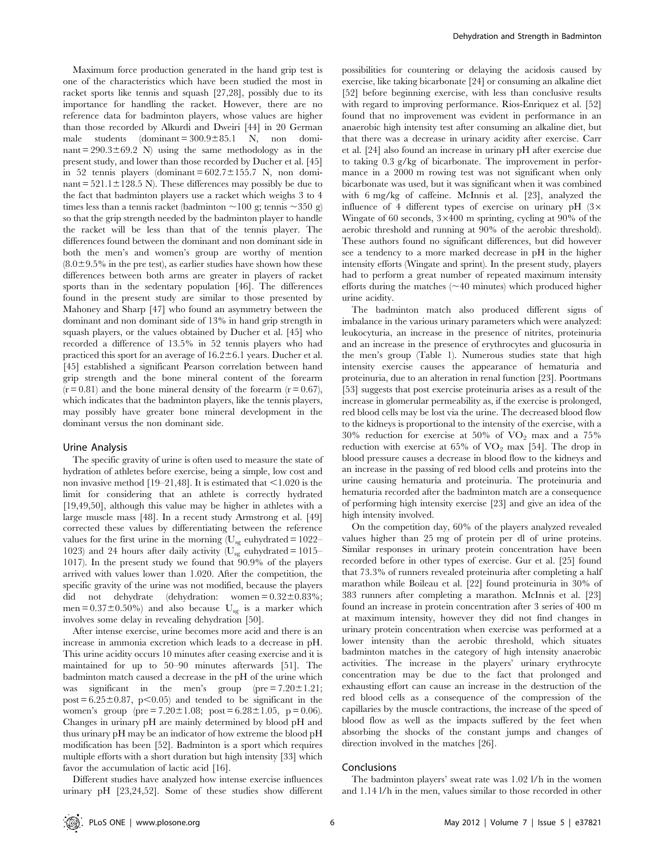Maximum force production generated in the hand grip test is one of the characteristics which have been studied the most in racket sports like tennis and squash [27,28], possibly due to its importance for handling the racket. However, there are no reference data for badminton players, whose values are higher than those recorded by Alkurdi and Dweiri [44] in 20 German male students (dominant =  $300.9 \pm 85.1$  N, non dominant =  $290.3 \pm 69.2$  N) using the same methodology as in the present study, and lower than those recorded by Ducher et al. [45] in 52 tennis players (dominant =  $602.7 \pm 155.7$  N, non dominant =  $521.1 \pm 128.5$  N). These differences may possibly be due to the fact that badminton players use a racket which weighs 3 to 4 times less than a tennis racket (badminton  $\sim$ 100 g; tennis  $\sim$ 350 g) so that the grip strength needed by the badminton player to handle the racket will be less than that of the tennis player. The differences found between the dominant and non dominant side in both the men's and women's group are worthy of mention  $(8.0\pm9.5\%$  in the pre test), as earlier studies have shown how these differences between both arms are greater in players of racket sports than in the sedentary population [46]. The differences found in the present study are similar to those presented by Mahoney and Sharp [47] who found an asymmetry between the dominant and non dominant side of 13% in hand grip strength in squash players, or the values obtained by Ducher et al. [45] who recorded a difference of 13.5% in 52 tennis players who had practiced this sport for an average of  $16.2 \pm 6.1$  years. Ducher et al. [45] established a significant Pearson correlation between hand grip strength and the bone mineral content of the forearm  $(r = 0.81)$  and the bone mineral density of the forearm  $(r = 0.67)$ , which indicates that the badminton players, like the tennis players, may possibly have greater bone mineral development in the dominant versus the non dominant side.

#### Urine Analysis

The specific gravity of urine is often used to measure the state of hydration of athletes before exercise, being a simple, low cost and non invasive method [19–21,48]. It is estimated that  $\leq$ 1.020 is the limit for considering that an athlete is correctly hydrated [19,49,50], although this value may be higher in athletes with a large muscle mass [48]. In a recent study Armstrong et al. [49] corrected these values by differentiating between the reference values for the first urine in the morning ( $U_{sg}$  euhydrated = 1022– 1023) and 24 hours after daily activity ( $U_{sg}$  euhydrated = 1015– 1017). In the present study we found that 90.9% of the players arrived with values lower than 1.020. After the competition, the specific gravity of the urine was not modified, because the players did not dehydrate (dehydration: women =  $0.32 \pm 0.83\%$ ; men =  $0.37\pm0.50\%$ ) and also because U<sub>sg</sub> is a marker which involves some delay in revealing dehydration [50].

After intense exercise, urine becomes more acid and there is an increase in ammonia excretion which leads to a decrease in pH. This urine acidity occurs 10 minutes after ceasing exercise and it is maintained for up to 50–90 minutes afterwards [51]. The badminton match caused a decrease in the pH of the urine which was significant in the men's group ( $pre = 7.20 \pm 1.21$ ; post =  $6.25 \pm 0.87$ , p $\leq 0.05$ ) and tended to be significant in the women's group (pre =  $7.20 \pm 1.08$ ; post =  $6.28 \pm 1.05$ , p = 0.06). Changes in urinary pH are mainly determined by blood pH and thus urinary pH may be an indicator of how extreme the blood pH modification has been [52]. Badminton is a sport which requires multiple efforts with a short duration but high intensity [33] which favor the accumulation of lactic acid [16].

Different studies have analyzed how intense exercise influences urinary pH [23,24,52]. Some of these studies show different possibilities for countering or delaying the acidosis caused by exercise, like taking bicarbonate [24] or consuming an alkaline diet [52] before beginning exercise, with less than conclusive results with regard to improving performance. Rios-Enriquez et al. [52] found that no improvement was evident in performance in an anaerobic high intensity test after consuming an alkaline diet, but that there was a decrease in urinary acidity after exercise. Carr et al. [24] also found an increase in urinary pH after exercise due to taking 0.3 g/kg of bicarbonate. The improvement in performance in a 2000 m rowing test was not significant when only bicarbonate was used, but it was significant when it was combined with 6 mg/kg of caffeine. McInnis et al. [23], analyzed the influence of 4 different types of exercise on urinary pH  $(3\times$ Wingate of 60 seconds,  $3 \times 400$  m sprinting, cycling at 90% of the aerobic threshold and running at 90% of the aerobic threshold). These authors found no significant differences, but did however see a tendency to a more marked decrease in pH in the higher intensity efforts (Wingate and sprint). In the present study, players had to perform a great number of repeated maximum intensity efforts during the matches  $(\sim 40$  minutes) which produced higher urine acidity.

The badminton match also produced different signs of imbalance in the various urinary parameters which were analyzed: leukocyturia, an increase in the presence of nitrites, proteinuria and an increase in the presence of erythrocytes and glucosuria in the men's group (Table 1). Numerous studies state that high intensity exercise causes the appearance of hematuria and proteinuria, due to an alteration in renal function [23]. Poortmans [53] suggests that post exercise proteinuria arises as a result of the increase in glomerular permeability as, if the exercise is prolonged, red blood cells may be lost via the urine. The decreased blood flow to the kidneys is proportional to the intensity of the exercise, with a  $30\%$  reduction for exercise at  $50\%$  of  $VO<sub>2</sub>$  max and a  $75\%$ reduction with exercise at  $65\%$  of  $VO<sub>2</sub>$  max [54]. The drop in blood pressure causes a decrease in blood flow to the kidneys and an increase in the passing of red blood cells and proteins into the urine causing hematuria and proteinuria. The proteinuria and hematuria recorded after the badminton match are a consequence of performing high intensity exercise [23] and give an idea of the high intensity involved.

On the competition day, 60% of the players analyzed revealed values higher than 25 mg of protein per dl of urine proteins. Similar responses in urinary protein concentration have been recorded before in other types of exercise. Gur et al. [25] found that 73.3% of runners revealed proteinuria after completing a half marathon while Boileau et al. [22] found proteinuria in 30% of 383 runners after completing a marathon. McInnis et al. [23] found an increase in protein concentration after 3 series of 400 m at maximum intensity, however they did not find changes in urinary protein concentration when exercise was performed at a lower intensity than the aerobic threshold, which situates badminton matches in the category of high intensity anaerobic activities. The increase in the players' urinary erythrocyte concentration may be due to the fact that prolonged and exhausting effort can cause an increase in the destruction of the red blood cells as a consequence of the compression of the capillaries by the muscle contractions, the increase of the speed of blood flow as well as the impacts suffered by the feet when absorbing the shocks of the constant jumps and changes of direction involved in the matches [26].

#### Conclusions

The badminton players' sweat rate was 1.02 l/h in the women and 1.14 l/h in the men, values similar to those recorded in other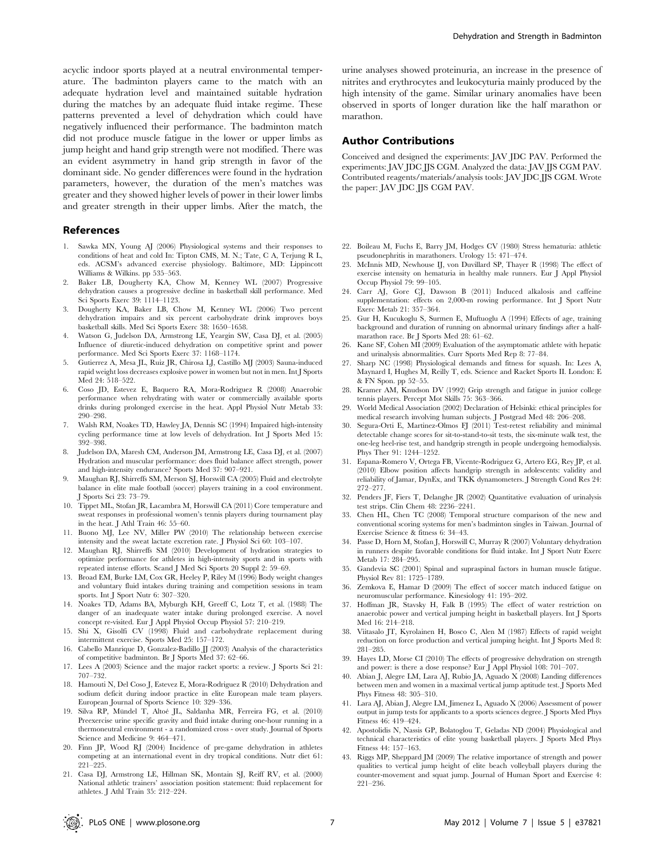acyclic indoor sports played at a neutral environmental temperature. The badminton players came to the match with an adequate hydration level and maintained suitable hydration during the matches by an adequate fluid intake regime. These patterns prevented a level of dehydration which could have negatively influenced their performance. The badminton match did not produce muscle fatigue in the lower or upper limbs as jump height and hand grip strength were not modified. There was an evident asymmetry in hand grip strength in favor of the dominant side. No gender differences were found in the hydration parameters, however, the duration of the men's matches was greater and they showed higher levels of power in their lower limbs and greater strength in their upper limbs. After the match, the

### References

- 1. Sawka MN, Young AJ (2006) Physiological systems and their responses to conditions of heat and cold In: Tipton CMS, M. N.; Tate, C A, Terjung R L, eds. ACSM's advanced exercise physiology. Baltimore, MD: Lippincott Williams & Wilkins. pp 535–563.
- 2. Baker LB, Dougherty KA, Chow M, Kenney WL (2007) Progressive dehydration causes a progressive decline in basketball skill performance. Med Sci Sports Exerc 39: 1114–1123.
- 3. Dougherty KA, Baker LB, Chow M, Kenney WL (2006) Two percent dehydration impairs and six percent carbohydrate drink improves boys basketball skills. Med Sci Sports Exerc 38: 1650–1658.
- 4. Watson G, Judelson DA, Armstrong LE, Yeargin SW, Casa DJ, et al. (2005) Influence of diuretic-induced dehydration on competitive sprint and power performance. Med Sci Sports Exerc 37: 1168–1174.
- 5. Gutierrez A, Mesa JL, Ruiz JR, Chirosa LJ, Castillo MJ (2003) Sauna-induced rapid weight loss decreases explosive power in women but not in men. Int J Sports Med 24: 518–522.
- 6. Coso JD, Estevez E, Baquero RA, Mora-Rodriguez R (2008) Anaerobic performance when rehydrating with water or commercially available sports drinks during prolonged exercise in the heat. Appl Physiol Nutr Metab 33: 290–298.
- 7. Walsh RM, Noakes TD, Hawley JA, Dennis SC (1994) Impaired high-intensity cycling performance time at low levels of dehydration. Int J Sports Med 15: 392–398.
- 8. Judelson DA, Maresh CM, Anderson JM, Armstrong LE, Casa DJ, et al. (2007) Hydration and muscular performance: does fluid balance affect strength, power and high-intensity endurance? Sports Med 37: 907–921.
- 9. Maughan RJ, Shirreffs SM, Merson SJ, Horswill CA (2005) Fluid and electrolyte balance in elite male football (soccer) players training in a cool environment. J Sports Sci 23: 73–79.
- 10. Tippet ML, Stofan JR, Lacambra M, Horswill CA (2011) Core temperature and sweat responses in professional women's tennis players during tournament play in the heat. J Athl Train 46: 55–60.
- 11. Buono MJ, Lee NV, Miller PW (2010) The relationship between exercise intensity and the sweat lactate excretion rate. J Physiol Sci 60: 103–107.
- 12. Maughan RJ, Shirreffs SM (2010) Development of hydration strategies to optimize performance for athletes in high-intensity sports and in sports with repeated intense efforts. Scand J Med Sci Sports 20 Suppl 2: 59–69.
- 13. Broad EM, Burke LM, Cox GR, Heeley P, Riley M (1996) Body weight changes and voluntary fluid intakes during training and competition sessions in team sports. Int J Sport Nutr 6: 307–320.
- 14. Noakes TD, Adams BA, Myburgh KH, Greeff C, Lotz T, et al. (1988) The danger of an inadequate water intake during prolonged exercise. A novel concept re-visited. Eur J Appl Physiol Occup Physiol 57: 210–219.
- 15. Shi X, Gisolfi CV (1998) Fluid and carbohydrate replacement during intermittent exercise. Sports Med 25: 157–172.
- 16. Cabello Manrique D, Gonzalez-Badillo JJ (2003) Analysis of the characteristics of competitive badminton. Br J Sports Med 37: 62–66.
- 17. Lees A (2003) Science and the major racket sports: a review. J Sports Sci 21: 707–732.
- 18. Hamouti N, Del Coso J, Estevez E, Mora-Rodriguez R (2010) Dehydration and sodium deficit during indoor practice in elite European male team players. European Journal of Sports Science 10: 329–336.
- 19. Silva RP, Mündel T, Altoé JL, Saldanha MR, Ferreira FG, et al. (2010) Preexercise urine specific gravity and fluid intake during one-hour running in a thermoneutral environment - a randomized cross - over study. Journal of Sports Science and Medicine 9: 464–471.
- 20. Finn JP, Wood RJ (2004) Incidence of pre-game dehydration in athletes competing at an international event in dry tropical conditions. Nutr diet 61: 221–225.
- 21. Casa DJ, Armstrong LE, Hillman SK, Montain SJ, Reiff RV, et al. (2000) National athletic trainers' association position statement: fluid replacement for athletes. J Athl Train 35: 212–224.

urine analyses showed proteinuria, an increase in the presence of nitrites and erythrocytes and leukocyturia mainly produced by the high intensity of the game. Similar urinary anomalies have been observed in sports of longer duration like the half marathon or marathon.

## Author Contributions

Conceived and designed the experiments: JAV JDC PAV. Performed the experiments: JAV JDC JJS CGM. Analyzed the data: JAV JJS CGM PAV. Contributed reagents/materials/analysis tools: JAV JDC JJS CGM. Wrote the paper: JAV JDC JJS CGM PAV.

- 22. Boileau M, Fuchs E, Barry JM, Hodges CV (1980) Stress hematuria: athletic pseudonephritis in marathoners. Urology 15: 471–474.
- 23. McInnis MD, Newhouse IJ, von Duvillard SP, Thayer R (1998) The effect of exercise intensity on hematuria in healthy male runners. Eur J Appl Physiol Occup Physiol 79: 99–105.
- 24. Carr AJ, Gore CJ, Dawson B (2011) Induced alkalosis and caffeine supplementation: effects on 2,000-m rowing performance. Int J Sport Nutr Exerc Metab 21: 357–364.
- 25. Gur H, Kucukoglu S, Surmen E, Muftuoglu A (1994) Effects of age, training background and duration of running on abnormal urinary findings after a halfmarathon race. Br J Sports Med 28: 61–62.
- 26. Kane SF, Cohen MI (2009) Evaluation of the asymptomatic athlete with hepatic and urinalysis abnormalities. Curr Sports Med Rep 8: 77–84.
- 27. Sharp NC (1998) Physiological demands and fitness for squash. In: Lees A, Maynard I, Hughes M, Reilly T, eds. Science and Racket Sports II. London: E & FN Spon. pp 52–55.
- 28. Kramer AM, Knudson DV (1992) Grip strength and fatigue in junior college tennis players. Percept Mot Skills 75: 363–366.
- 29. World Medical Association (2002) Declaration of Helsinki: ethical principles for medical research involving human subjects. J Postgrad Med 48: 206–208.
- 30. Segura-Orti E, Martinez-Olmos FJ (2011) Test-retest reliability and minimal detectable change scores for sit-to-stand-to-sit tests, the six-minute walk test, the one-leg heel-rise test, and handgrip strength in people undergoing hemodialysis. Phys Ther 91: 1244–1252.
- 31. Espana-Romero V, Ortega FB, Vicente-Rodriguez G, Artero EG, Rey JP, et al. (2010) Elbow position affects handgrip strength in adolescents: validity and reliability of Jamar, DynEx, and TKK dynamometers. J Strength Cond Res 24: 272–277.
- 32. Penders JF, Fiers T, Delanghe JR (2002) Quantitative evaluation of urinalysis test strips. Clin Chem 48: 2236–2241.
- 33. Chen HL, Chen TC (2008) Temporal structure comparison of the new and conventional scoring systems for men's badminton singles in Taiwan. Journal of Exercise Science & fitness 6: 34–43.
- 34. Passe D, Horn M, Stofan J, Horswill C, Murray R (2007) Voluntary dehydration in runners despite favorable conditions for fluid intake. Int J Sport Nutr Exerc Metab 17: 284–295.
- 35. Gandevia SC (2001) Spinal and supraspinal factors in human muscle fatigue. Physiol Rev 81: 1725–1789.
- 36. Zemkova E, Hamar D (2009) The effect of soccer match induced fatigue on neuromuscular performance. Kinesiology 41: 195–202.
- 37. Hoffman JR, Stavsky H, Falk B (1995) The effect of water restriction on anaerobic power and vertical jumping height in basketball players. Int J Sports Med 16: 214–218.
- 38. Viitasalo JT, Kyrolainen H, Bosco C, Alen M (1987) Effects of rapid weight reduction on force production and vertical jumping height. Int J Sports Med 8: 281–285.
- 39. Hayes LD, Morse CI (2010) The effects of progressive dehydration on strength and power: is there a dose response? Eur J Appl Physiol 108: 701–707.
- 40. Abian J, Alegre LM, Lara AJ, Rubio JA, Aguado X (2008) Landing differences between men and women in a maximal vertical jump aptitude test. J Sports Med Phys Fitness 48: 305–310.
- 41. Lara AJ, Abian J, Alegre LM, Jimenez L, Aguado X (2006) Assessment of power output in jump tests for applicants to a sports sciences degree. J Sports Med Phys Fitness 46: 419–424.
- 42. Apostolidis N, Nassis GP, Bolatoglou T, Geladas ND (2004) Physiological and technical characteristics of elite young basketball players. J Sports Med Phys Fitness 44: 157–163.
- 43. Riggs MP, Sheppard JM (2009) The relative importance of strength and power qualities to vertical jump height of elite beach volleyball players during the counter-movement and squat jump. Journal of Human Sport and Exercise 4: 221–236.